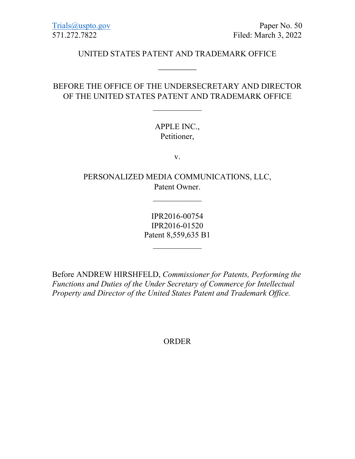[Trials@uspto.gov](mailto:Trials@uspto.gov) Paper No. 50 571.272.7822 Filed: March 3, 2022

### UNITED STATES PATENT AND TRADEMARK OFFICE

\_\_\_\_\_\_\_\_\_\_\_\_

## BEFORE THE OFFICE OF THE UNDERSECRETARY AND DIRECTOR OF THE UNITED STATES PATENT AND TRADEMARK OFFICE

 $\overline{\phantom{a}}$ 

## APPLE INC., Petitioner,

v.

PERSONALIZED MEDIA COMMUNICATIONS, LLC, Patent Owner.

 $\overline{\phantom{a}}$ 

IPR2016-00754 IPR2016-01520 Patent 8,559,635 B1

 $\overline{\phantom{a}}$ 

Before ANDREW HIRSHFELD, *Commissioner for Patents, Performing the Functions and Duties of the Under Secretary of Commerce for Intellectual Property and Director of the United States Patent and Trademark Office.*

ORDER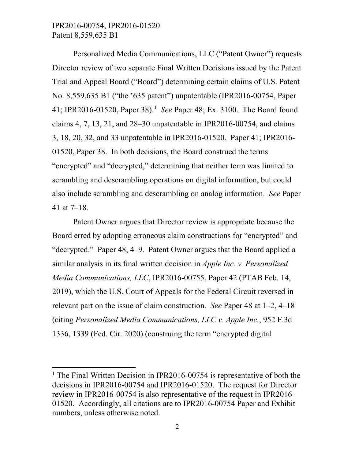# IPR2016-00754, IPR2016-01520 Patent 8,559,635 B1

l

Personalized Media Communications, LLC ("Patent Owner") requests Director review of two separate Final Written Decisions issued by the Patent Trial and Appeal Board ("Board") determining certain claims of U.S. Patent No. 8,559,635 B1 ("the '635 patent") unpatentable (IPR2016-00754, Paper 41; IPR2016-01520, Paper 38). [1](#page-1-0) *See* Paper 48; Ex. 3100. The Board found claims 4, 7, 13, 21, and 28–30 unpatentable in IPR2016-00754, and claims 3, 18, 20, 32, and 33 unpatentable in IPR2016-01520. Paper 41; IPR2016- 01520, Paper 38. In both decisions, the Board construed the terms "encrypted" and "decrypted," determining that neither term was limited to scrambling and descrambling operations on digital information, but could also include scrambling and descrambling on analog information. *See* Paper 41 at 7–18.

Patent Owner argues that Director review is appropriate because the Board erred by adopting erroneous claim constructions for "encrypted" and "decrypted." Paper 48, 4–9. Patent Owner argues that the Board applied a similar analysis in its final written decision in *Apple Inc. v. Personalized Media Communications, LLC*, IPR2016-00755, Paper 42 (PTAB Feb. 14, 2019), which the U.S. Court of Appeals for the Federal Circuit reversed in relevant part on the issue of claim construction. *See* Paper 48 at 1–2, 4–18 (citing *Personalized Media Communications, LLC v. Apple Inc.*, 952 F.3d 1336, 1339 (Fed. Cir. 2020) (construing the term "encrypted digital

<span id="page-1-0"></span><sup>&</sup>lt;sup>1</sup> The Final Written Decision in IPR2016-00754 is representative of both the decisions in IPR2016-00754 and IPR2016-01520. The request for Director review in IPR2016-00754 is also representative of the request in IPR2016- 01520. Accordingly, all citations are to IPR2016-00754 Paper and Exhibit numbers, unless otherwise noted.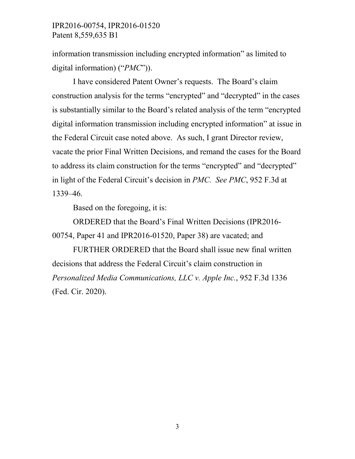## IPR2016-00754, IPR2016-01520 Patent 8,559,635 B1

information transmission including encrypted information" as limited to digital information) ("*PMC*")).

I have considered Patent Owner's requests. The Board's claim construction analysis for the terms "encrypted" and "decrypted" in the cases is substantially similar to the Board's related analysis of the term "encrypted digital information transmission including encrypted information" at issue in the Federal Circuit case noted above. As such, I grant Director review, vacate the prior Final Written Decisions, and remand the cases for the Board to address its claim construction for the terms "encrypted" and "decrypted" in light of the Federal Circuit's decision in *PMC. See PMC*, 952 F.3d at 1339–46.

Based on the foregoing, it is:

ORDERED that the Board's Final Written Decisions (IPR2016- 00754, Paper 41 and IPR2016-01520, Paper 38) are vacated; and

FURTHER ORDERED that the Board shall issue new final written decisions that address the Federal Circuit's claim construction in *Personalized Media Communications, LLC v. Apple Inc.*, 952 F.3d 1336 (Fed. Cir. 2020).